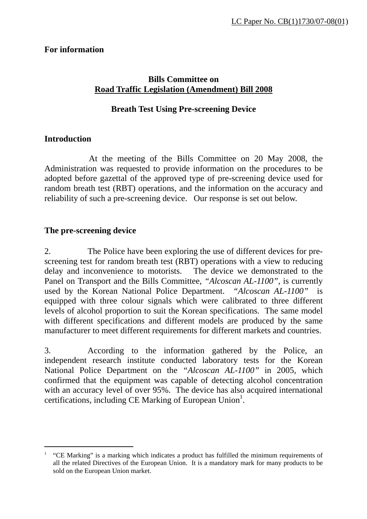# **For information**

# **Bills Committee on Road Traffic Legislation (Amendment) Bill 2008**

# **Breath Test Using Pre-screening Device**

### **Introduction**

l

 At the meeting of the Bills Committee on 20 May 2008, the Administration was requested to provide information on the procedures to be adopted before gazettal of the approved type of pre-screening device used for random breath test (RBT) operations, and the information on the accuracy and reliability of such a pre-screening device. Our response is set out below.

#### **The pre-screening device**

2. The Police have been exploring the use of different devices for prescreening test for random breath test (RBT) operations with a view to reducing delay and inconvenience to motorists. The device we demonstrated to the Panel on Transport and the Bills Committee, *"Alcoscan AL-1100",* is currently used by the Korean National Police Department. *"Alcoscan AL-1100"* is equipped with three colour signals which were calibrated to three different levels of alcohol proportion to suit the Korean specifications. The same model with different specifications and different models are produced by the same manufacturer to meet different requirements for different markets and countries.

3. According to the information gathered by the Police, an independent research institute conducted laboratory tests for the Korean National Police Department on the *"Alcoscan AL-1100"* in 2005, which confirmed that the equipment was capable of detecting alcohol concentration with an accuracy level of over 95%. The device has also acquired international certifications, including CE Marking of European Union<sup>1</sup>.

<sup>&</sup>lt;sup>1</sup> "CE Marking" is a marking which indicates a product has fulfilled the minimum requirements of all the related Directives of the European Union. It is a mandatory mark for many products to be sold on the European Union market.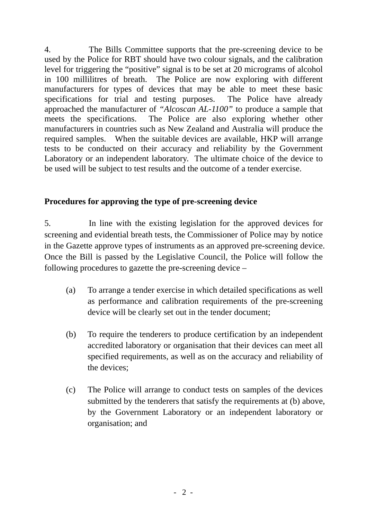4. The Bills Committee supports that the pre-screening device to be used by the Police for RBT should have two colour signals, and the calibration level for triggering the "positive" signal is to be set at 20 micrograms of alcohol in 100 millilitres of breath. The Police are now exploring with different manufacturers for types of devices that may be able to meet these basic specifications for trial and testing purposes. The Police have already approached the manufacturer of *"Alcoscan AL-1100"* to produce a sample that meets the specifications. The Police are also exploring whether other manufacturers in countries such as New Zealand and Australia will produce the required samples. When the suitable devices are available, HKP will arrange tests to be conducted on their accuracy and reliability by the Government Laboratory or an independent laboratory. The ultimate choice of the device to be used will be subject to test results and the outcome of a tender exercise.

# **Procedures for approving the type of pre-screening device**

5. In line with the existing legislation for the approved devices for screening and evidential breath tests, the Commissioner of Police may by notice in the Gazette approve types of instruments as an approved pre-screening device. Once the Bill is passed by the Legislative Council, the Police will follow the following procedures to gazette the pre-screening device –

- (a) To arrange a tender exercise in which detailed specifications as well as performance and calibration requirements of the pre-screening device will be clearly set out in the tender document;
- (b) To require the tenderers to produce certification by an independent accredited laboratory or organisation that their devices can meet all specified requirements, as well as on the accuracy and reliability of the devices;
- (c) The Police will arrange to conduct tests on samples of the devices submitted by the tenderers that satisfy the requirements at (b) above, by the Government Laboratory or an independent laboratory or organisation; and